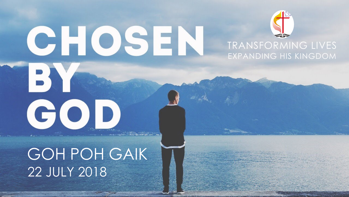# CHOSEN



#### TRANSFORMING LIVES EXPANDING HIS KINGDOM

#### GOH POH GAIK 22 JULY 2018

GOD

B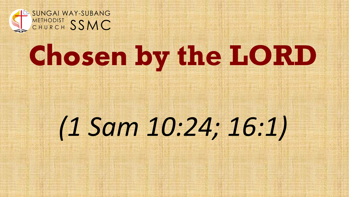

## **Chosen by the LORD**

## *(1 Sam 10:24; 16:1)*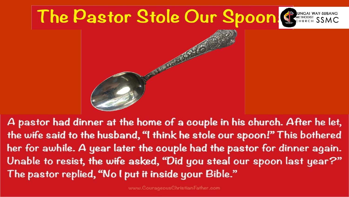### The Pastor Stole Our Spoon. SANCAL MATERIAN STAR



A pastor had dinner at the home of a couple in his church. After he let, the wife said to the husband, "I think he stole our spoon!" This bothered her for awhile. A year later the couple had the pastor for dinner again. Unable to resist, the wife asked, "Did you steal our spoon last year?" The pastor replied, "No I put it inside your Bible."

www.CourageousChristianFather.com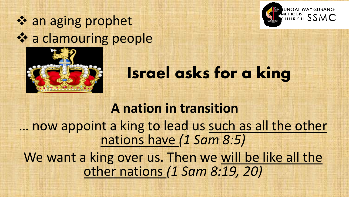





#### **Israel asks for a king**

#### **A nation in transition**  … now appoint a king to lead us such as all the other nations have *(1 Sam 8:5)* We want a king over us. Then we will be like all the other nations *(1 Sam 8:19, 20)*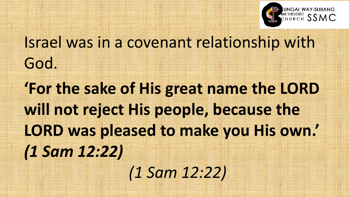

### Israel was in a covenant relationship with God. **'For the sake of His great name the LORD will not reject His people, because the LORD was pleased to make you His own.'**  *(1 Sam 12:22)*

*(1 Sam 12:22)*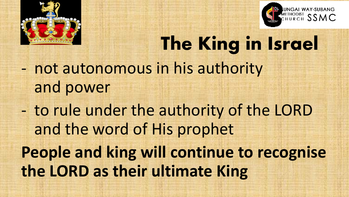



### **The King in Israel**

- not autonomous in his authority and power
- to rule under the authority of the LORD and the word of His prophet

**People and king will continue to recognise the LORD as their ultimate King**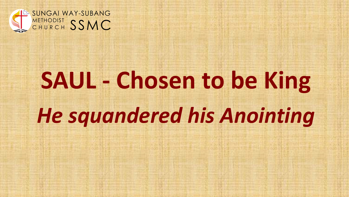

## **SAUL - Chosen to be King** *He squandered his Anointing*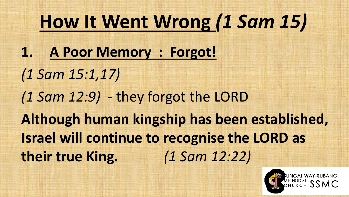### **How It Went Wrong** *(1 Sam 15)*

**1. A Poor Memory : Forgot!** *(1 Sam 15:1,17) (1 Sam 12:9)* - they forgot the LORD **Although human kingship has been established, Israel will continue to recognise the LORD as their true King.** *(1 Sam 12:22)* 

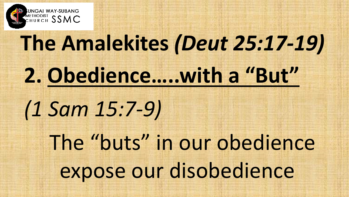

## **The Amalekites** *(Deut 25:17-19)* **2. Obedience…..with a "But"**

*(1 Sam 15:7-9)*

The "buts" in our obedience expose our disobedience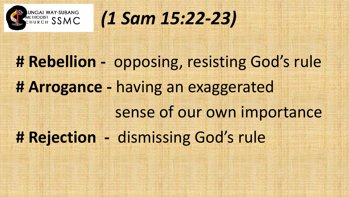



### **# Rebellion -** opposing, resisting God's rule **# Arrogance -** having an exaggerated sense of our own importance **# Rejection -** dismissing God's rule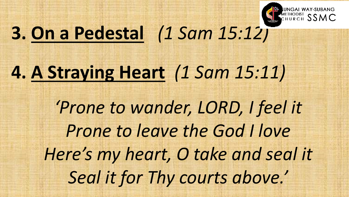

### **3. On a Pedestal** *(1 Sam 15:12)*

### **4. A Straying Heart** *(1 Sam 15:11)*

*'Prone to wander, LORD, I feel it Prone to leave the God I love Here's my heart, O take and seal it Seal it for Thy courts above.'*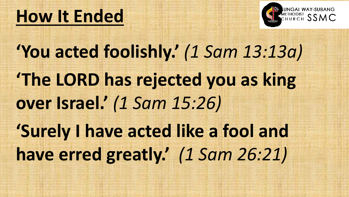

**'You acted foolishly.'** *(1 Sam 13:13a)* **'The LORD has rejected you as king over Israel.'** *(1 Sam 15:26)* **'Surely I have acted like a fool and have erred greatly.'** *(1 Sam 26:21)*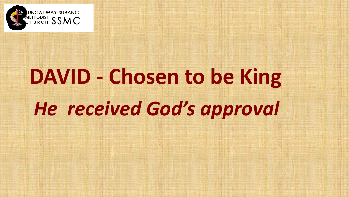

## **DAVID - Chosen to be King** *He received God's approval*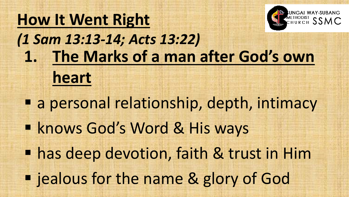#### **How It Went Right** URCH SSMC *(1 Sam 13:13-14; Acts 13:22)* **1. The Marks of a man after God's own heart**

**E** a personal relationship, depth, intimacy **E** knows God's Word & His ways **. has deep devotion, faith & trust in Him E** jealous for the name & glory of God

▪ repent deeply *(Psa 51)*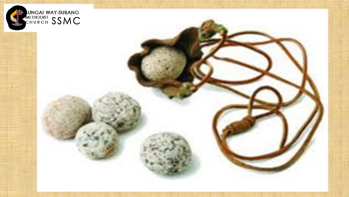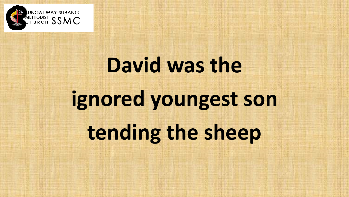

## David was the **ignored youngest son tending the sheep**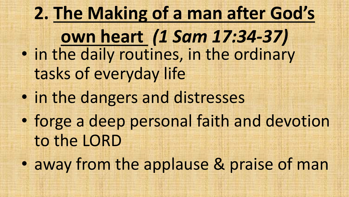**2. The Making of a man after God's own heart** *(1 Sam 17:34-37)* • in the daily routines, in the ordinary tasks of everyday life

- in the dangers and distresses
- forge a deep personal faith and devotion to the LORD
- away from the applause & praise of man